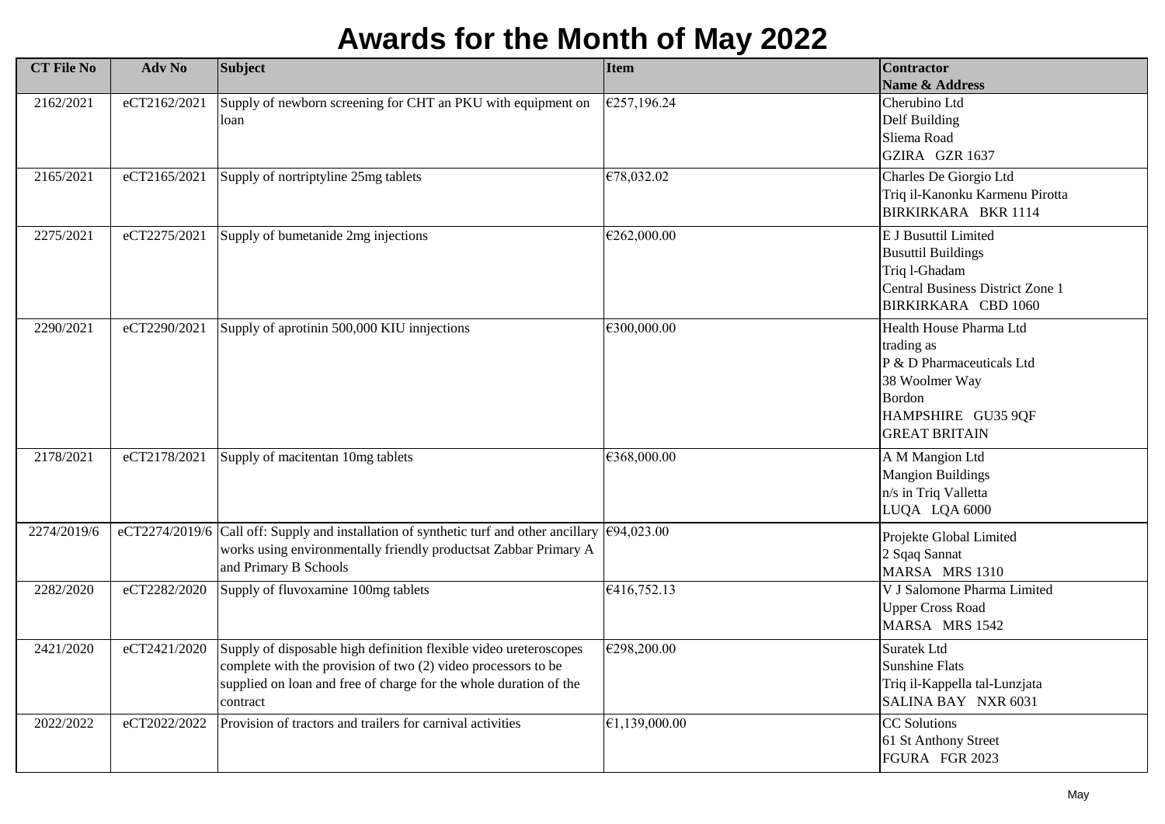## **Awards for the Month of May 2022**

| <b>CT File No</b> | Adv No       | <b>Subject</b>                                                                                                                                                                                                      | <b>Item</b>   | <b>Contractor</b><br>Name & Address                                                                                                                 |
|-------------------|--------------|---------------------------------------------------------------------------------------------------------------------------------------------------------------------------------------------------------------------|---------------|-----------------------------------------------------------------------------------------------------------------------------------------------------|
| 2162/2021         | eCT2162/2021 | Supply of newborn screening for CHT an PKU with equipment on<br>loan                                                                                                                                                | €257,196.24   | Cherubino Ltd<br>Delf Building<br>Sliema Road<br>GZIRA GZR 1637                                                                                     |
| 2165/2021         | eCT2165/2021 | Supply of nortriptyline 25mg tablets                                                                                                                                                                                | €78,032.02    | Charles De Giorgio Ltd<br>Triq il-Kanonku Karmenu Pirotta<br>BIRKIRKARA BKR 1114                                                                    |
| 2275/2021         | eCT2275/2021 | Supply of bumetanide 2mg injections                                                                                                                                                                                 | €262,000.00   | E J Busuttil Limited<br><b>Busuttil Buildings</b><br>Triq 1-Ghadam<br>Central Business District Zone 1<br>BIRKIRKARA CBD 1060                       |
| 2290/2021         | eCT2290/2021 | Supply of aprotinin 500,000 KIU innjections                                                                                                                                                                         | €300,000.00   | Health House Pharma Ltd<br>trading as<br>P & D Pharmaceuticals Ltd<br>38 Woolmer Way<br><b>Bordon</b><br>HAMPSHIRE GU35 9QF<br><b>GREAT BRITAIN</b> |
| 2178/2021         | eCT2178/2021 | Supply of macitentan 10mg tablets                                                                                                                                                                                   | €368,000.00   | A M Mangion Ltd<br><b>Mangion Buildings</b><br>n/s in Triq Valletta<br>LUQA LQA 6000                                                                |
| 2274/2019/6       |              | eCT2274/2019/6 Call off: Supply and installation of synthetic turf and other ancillary<br>works using environmentally friendly productsat Zabbar Primary A<br>and Primary B Schools                                 | €94,023.00    | Projekte Global Limited<br>2 Sqaq Sannat<br>MARSA MRS 1310                                                                                          |
| 2282/2020         | eCT2282/2020 | Supply of fluvoxamine 100mg tablets                                                                                                                                                                                 | €416,752.13   | V J Salomone Pharma Limited<br><b>Upper Cross Road</b><br>MARSA MRS 1542                                                                            |
| 2421/2020         | eCT2421/2020 | Supply of disposable high definition flexible video ureteroscopes<br>complete with the provision of two (2) video processors to be<br>supplied on loan and free of charge for the whole duration of the<br>contract | €298,200.00   | <b>Suratek Ltd</b><br><b>Sunshine Flats</b><br>Triq il-Kappella tal-Lunzjata<br>SALINA BAY NXR 6031                                                 |
| 2022/2022         | eCT2022/2022 | Provision of tractors and trailers for carnival activities                                                                                                                                                          | €1,139,000.00 | <b>CC</b> Solutions<br>61 St Anthony Street<br>FGURA FGR 2023                                                                                       |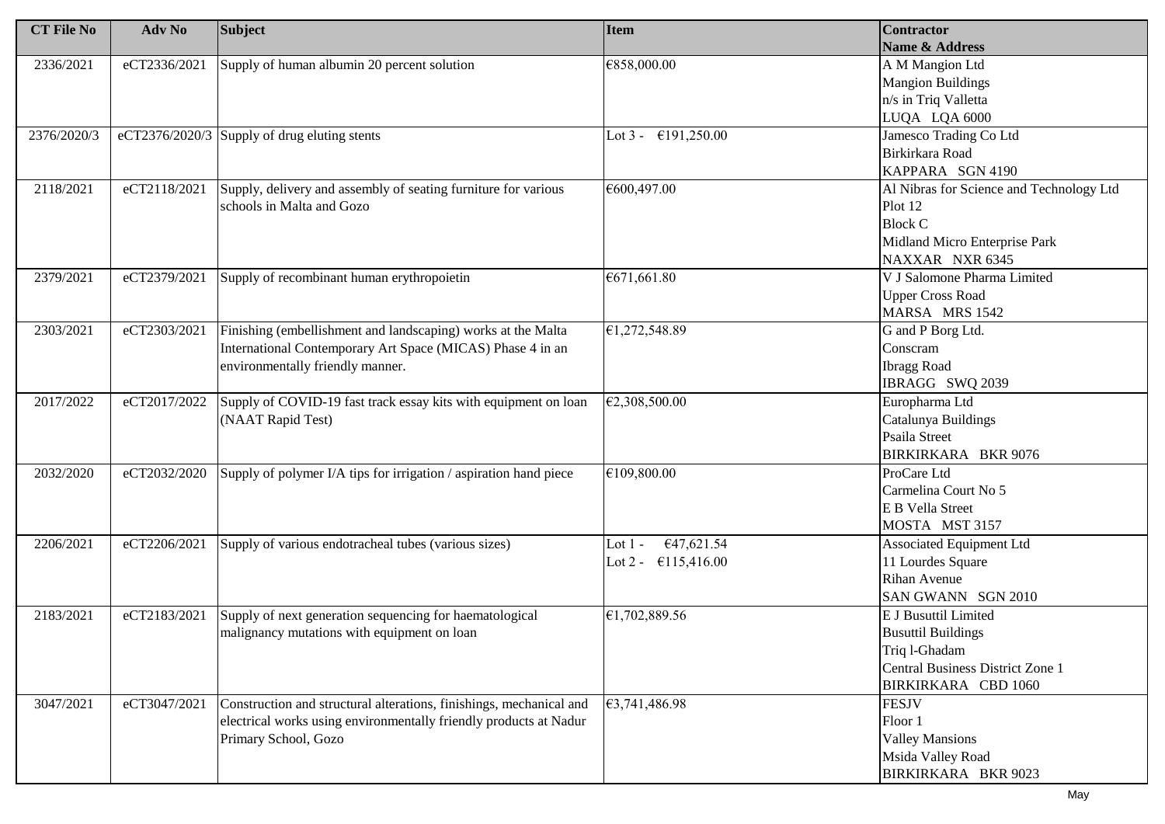| <b>CT File No</b> | Adv No       | <b>Subject</b>                                                      | <b>Item</b>                   | <b>Contractor</b>                        |
|-------------------|--------------|---------------------------------------------------------------------|-------------------------------|------------------------------------------|
|                   |              |                                                                     |                               | Name & Address                           |
| 2336/2021         | eCT2336/2021 | Supply of human albumin 20 percent solution                         | €858,000.00                   | A M Mangion Ltd                          |
|                   |              |                                                                     |                               | <b>Mangion Buildings</b>                 |
|                   |              |                                                                     |                               | n/s in Triq Valletta                     |
|                   |              |                                                                     |                               | LUQA LQA 6000                            |
| 2376/2020/3       |              | eCT2376/2020/3 Supply of drug eluting stents                        | Lot $3 - 6191,250.00$         | Jamesco Trading Co Ltd                   |
|                   |              |                                                                     |                               | Birkirkara Road                          |
|                   |              |                                                                     |                               | KAPPARA SGN 4190                         |
| 2118/2021         | eCT2118/2021 | Supply, delivery and assembly of seating furniture for various      | €600,497.00                   | Al Nibras for Science and Technology Ltd |
|                   |              | schools in Malta and Gozo                                           |                               | Plot 12                                  |
|                   |              |                                                                     |                               | <b>Block C</b>                           |
|                   |              |                                                                     |                               | Midland Micro Enterprise Park            |
|                   |              |                                                                     |                               | NAXXAR NXR 6345                          |
| 2379/2021         | eCT2379/2021 | Supply of recombinant human erythropoietin                          | €671,661.80                   | V J Salomone Pharma Limited              |
|                   |              |                                                                     |                               | <b>Upper Cross Road</b>                  |
|                   |              |                                                                     |                               | MARSA MRS 1542                           |
| 2303/2021         | eCT2303/2021 | Finishing (embellishment and landscaping) works at the Malta        | €1,272,548.89                 | G and P Borg Ltd.                        |
|                   |              | International Contemporary Art Space (MICAS) Phase 4 in an          |                               | Conscram                                 |
|                   |              | environmentally friendly manner.                                    |                               | <b>Ibragg Road</b>                       |
|                   |              |                                                                     |                               | IBRAGG SWQ 2039                          |
| 2017/2022         | eCT2017/2022 | Supply of COVID-19 fast track essay kits with equipment on loan     | €2,308,500.00                 | Europharma Ltd                           |
|                   |              | (NAAT Rapid Test)                                                   |                               | Catalunya Buildings                      |
|                   |              |                                                                     |                               | Psaila Street                            |
|                   |              |                                                                     |                               | BIRKIRKARA BKR 9076                      |
| 2032/2020         | eCT2032/2020 | Supply of polymer I/A tips for irrigation / aspiration hand piece   | €109,800.00                   | ProCare Ltd                              |
|                   |              |                                                                     |                               | Carmelina Court No 5                     |
|                   |              |                                                                     |                               | E B Vella Street                         |
|                   |              |                                                                     |                               | MOSTA MST 3157                           |
| 2206/2021         | eCT2206/2021 | Supply of various endotracheal tubes (various sizes)                | €47,621.54<br>Lot $1$ -       | <b>Associated Equipment Ltd</b>          |
|                   |              |                                                                     | Lot 2 - $\epsilon$ 115,416.00 | 11 Lourdes Square                        |
|                   |              |                                                                     |                               | Rihan Avenue                             |
|                   |              |                                                                     |                               | SAN GWANN SGN 2010                       |
| 2183/2021         | eCT2183/2021 | Supply of next generation sequencing for haematological             | €1,702,889.56                 | <b>E J Busuttil Limited</b>              |
|                   |              | malignancy mutations with equipment on loan                         |                               | <b>Busuttil Buildings</b>                |
|                   |              |                                                                     |                               | Triq 1-Ghadam                            |
|                   |              |                                                                     |                               | <b>Central Business District Zone 1</b>  |
|                   |              |                                                                     |                               | BIRKIRKARA CBD 1060                      |
| 3047/2021         | eCT3047/2021 | Construction and structural alterations, finishings, mechanical and | €3,741,486.98                 | <b>FESJV</b>                             |
|                   |              | electrical works using environmentally friendly products at Nadur   |                               | Floor 1                                  |
|                   |              | Primary School, Gozo                                                |                               | <b>Valley Mansions</b>                   |
|                   |              |                                                                     |                               | Msida Valley Road                        |
|                   |              |                                                                     |                               | BIRKIRKARA BKR 9023                      |